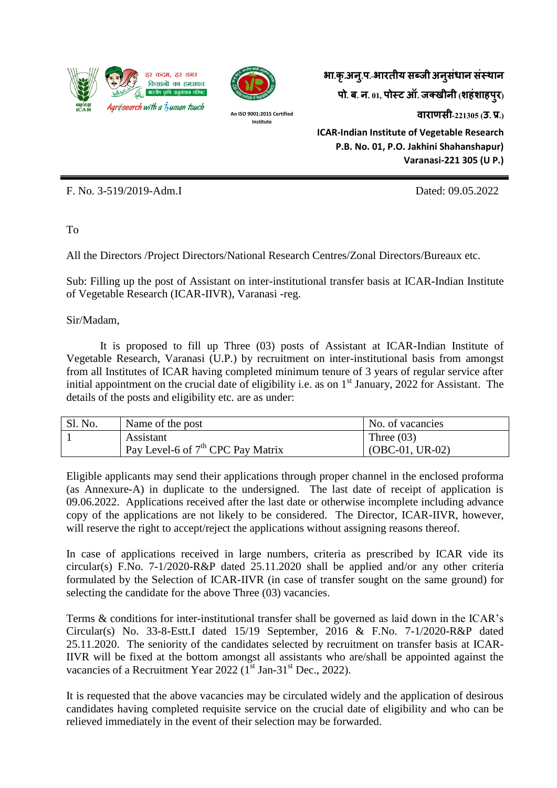



**An ISO 9001:2015 Certified Institute**

**भा.कृ.अन.ुप.-भारतीय सब्जी अनसु धं ान संस्थान पो. ब. न. 01, पोस्ट ऑ. जक्खीनी (शहंशाहपरु) वाराणसी-221305 (उ. प्र.) ICAR-Indian Institute of Vegetable Research P.B. No. 01, P.O. Jakhini Shahanshapur) Varanasi-221 305 (U P.)**

F. No. 3-519/2019-Adm.I Dated: 09.05.2022

To

All the Directors /Project Directors/National Research Centres/Zonal Directors/Bureaux etc.

Sub: Filling up the post of Assistant on inter-institutional transfer basis at ICAR-Indian Institute of Vegetable Research (ICAR-IIVR), Varanasi -reg.

Sir/Madam,

It is proposed to fill up Three (03) posts of Assistant at ICAR-Indian Institute of Vegetable Research, Varanasi (U.P.) by recruitment on inter-institutional basis from amongst from all Institutes of ICAR having completed minimum tenure of 3 years of regular service after initial appointment on the crucial date of eligibility i.e. as on 1<sup>st</sup> January, 2022 for Assistant. The details of the posts and eligibility etc. are as under:

| Sl. No. | Name of the post                    | No. of vacancies  |
|---------|-------------------------------------|-------------------|
|         | Assistant                           | Three $(03)$      |
|         | Pay Level-6 of $7th$ CPC Pay Matrix | $(OBC-01, UR-02)$ |

Eligible applicants may send their applications through proper channel in the enclosed proforma (as Annexure-A) in duplicate to the undersigned. The last date of receipt of application is 09.06.2022. Applications received after the last date or otherwise incomplete including advance copy of the applications are not likely to be considered. The Director, ICAR-IIVR, however, will reserve the right to accept/reject the applications without assigning reasons thereof.

In case of applications received in large numbers, criteria as prescribed by ICAR vide its circular(s) F.No. 7-1/2020-R&P dated 25.11.2020 shall be applied and/or any other criteria formulated by the Selection of ICAR-IIVR (in case of transfer sought on the same ground) for selecting the candidate for the above Three (03) vacancies.

Terms & conditions for inter-institutional transfer shall be governed as laid down in the ICAR's Circular(s) No. 33-8-Estt.I dated 15/19 September, 2016 & F.No. 7-1/2020-R&P dated 25.11.2020. The seniority of the candidates selected by recruitment on transfer basis at ICAR-IIVR will be fixed at the bottom amongst all assistants who are/shall be appointed against the vacancies of a Recruitment Year 2022 (1<sup>st</sup> Jan-31<sup>st</sup> Dec., 2022).

It is requested that the above vacancies may be circulated widely and the application of desirous candidates having completed requisite service on the crucial date of eligibility and who can be relieved immediately in the event of their selection may be forwarded.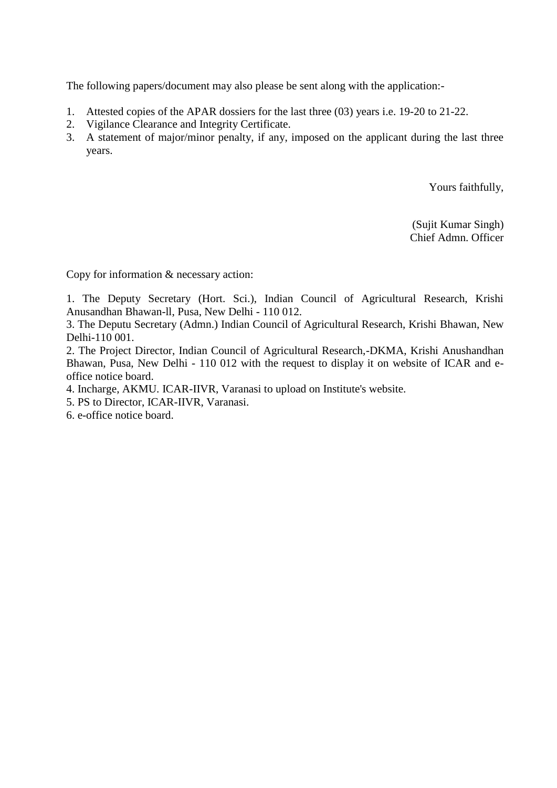The following papers/document may also please be sent along with the application:-

- 1. Attested copies of the APAR dossiers for the last three (03) years i.e. 19-20 to 21-22.
- 2. Vigilance Clearance and Integrity Certificate.
- 3. A statement of major/minor penalty, if any, imposed on the applicant during the last three years.

Yours faithfully,

(Sujit Kumar Singh) Chief Admn. Officer

Copy for information & necessary action:

1. The Deputy Secretary (Hort. Sci.), Indian Council of Agricultural Research, Krishi Anusandhan Bhawan-ll, Pusa, New Delhi - 110 012.

3. The Deputu Secretary (Admn.) Indian Council of Agricultural Research, Krishi Bhawan, New Delhi-110 001.

2. The Project Director, Indian Council of Agricultural Research,-DKMA, Krishi Anushandhan Bhawan, Pusa, New Delhi - 110 012 with the request to display it on website of ICAR and eoffice notice board.

4. Incharge, AKMU. ICAR-IIVR, Varanasi to upload on Institute's website.

5. PS to Director, ICAR-IIVR, Varanasi.

6. e-office notice board.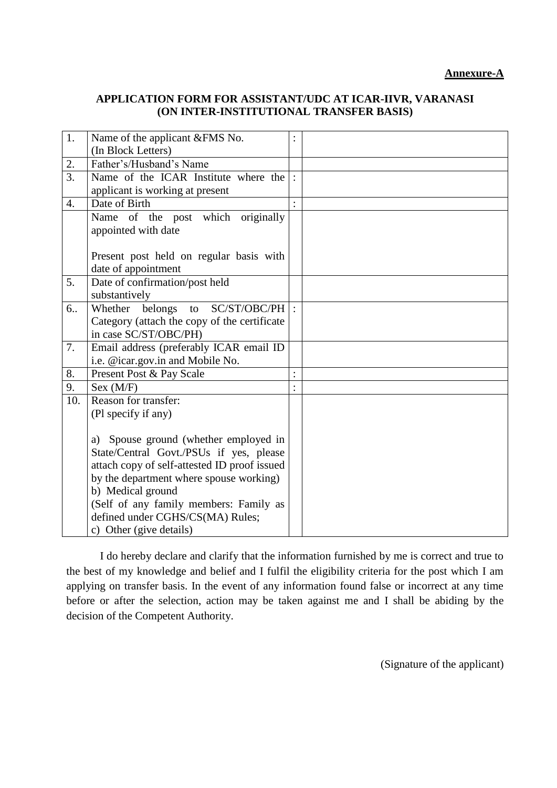## **APPLICATION FORM FOR ASSISTANT/UDC AT ICAR-IIVR, VARANASI (ON INTER-INSTITUTIONAL TRANSFER BASIS)**

| 1.               | Name of the applicant &FMS No.               |                      |  |
|------------------|----------------------------------------------|----------------------|--|
|                  | (In Block Letters)                           |                      |  |
| 2.               | Father's/Husband's Name                      |                      |  |
| $\overline{3}$ . | Name of the ICAR Institute where the         |                      |  |
|                  | applicant is working at present              |                      |  |
| $\overline{4}$ . | Date of Birth                                |                      |  |
|                  | originally<br>of the post<br>which<br>Name   |                      |  |
|                  | appointed with date                          |                      |  |
|                  |                                              |                      |  |
|                  | Present post held on regular basis with      |                      |  |
|                  | date of appointment                          |                      |  |
| 5.               | Date of confirmation/post held               |                      |  |
|                  | substantively                                |                      |  |
| 6                | SC/ST/OBC/PH<br>belongs<br>Whether<br>to     |                      |  |
|                  | Category (attach the copy of the certificate |                      |  |
|                  | in case SC/ST/OBC/PH)                        |                      |  |
| 7.               | Email address (preferably ICAR email ID      |                      |  |
|                  | i.e. @icar.gov.in and Mobile No.             |                      |  |
| 8.               | Present Post & Pay Scale                     | $\ddot{\phantom{0}}$ |  |
| 9.               | Sex (M/F)                                    |                      |  |
| 10.              | Reason for transfer:                         |                      |  |
|                  | (Pl specify if any)                          |                      |  |
|                  |                                              |                      |  |
|                  | a) Spouse ground (whether employed in        |                      |  |
|                  | State/Central Govt./PSUs if yes, please      |                      |  |
|                  | attach copy of self-attested ID proof issued |                      |  |
|                  | by the department where spouse working)      |                      |  |
|                  | b) Medical ground                            |                      |  |
|                  | (Self of any family members: Family as       |                      |  |
|                  | defined under CGHS/CS(MA) Rules;             |                      |  |
|                  | c) Other (give details)                      |                      |  |

I do hereby declare and clarify that the information furnished by me is correct and true to the best of my knowledge and belief and I fulfil the eligibility criteria for the post which I am applying on transfer basis. In the event of any information found false or incorrect at any time before or after the selection, action may be taken against me and I shall be abiding by the decision of the Competent Authority.

(Signature of the applicant)